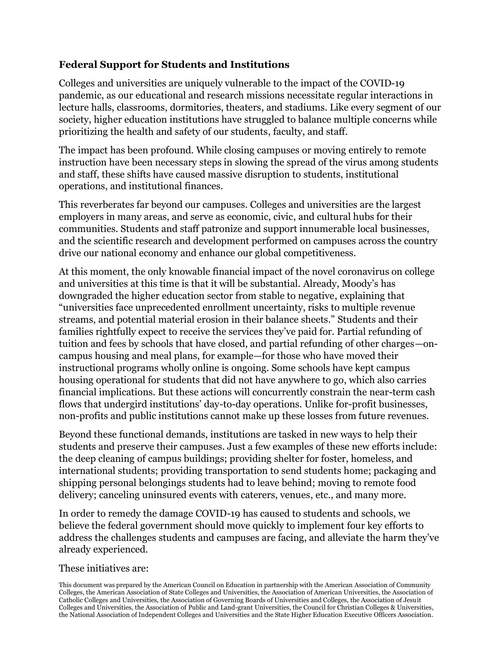#### **Federal Support for Students and Institutions**

Colleges and universities are uniquely vulnerable to the impact of the COVID-19 pandemic, as our educational and research missions necessitate regular interactions in lecture halls, classrooms, dormitories, theaters, and stadiums. Like every segment of our society, higher education institutions have struggled to balance multiple concerns while prioritizing the health and safety of our students, faculty, and staff.

The impact has been profound. While closing campuses or moving entirely to remote instruction have been necessary steps in slowing the spread of the virus among students and staff, these shifts have caused massive disruption to students, institutional operations, and institutional finances.

This reverberates far beyond our campuses. Colleges and universities are the largest employers in many areas, and serve as economic, civic, and cultural hubs for their communities. Students and staff patronize and support innumerable local businesses, and the scientific research and development performed on campuses across the country drive our national economy and enhance our global competitiveness.

At this moment, the only knowable financial impact of the novel coronavirus on college and universities at this time is that it will be substantial. Already, Moody's has downgraded the higher education sector from stable to negative, explaining that "universities face unprecedented enrollment uncertainty, risks to multiple revenue streams, and potential material erosion in their balance sheets." Students and their families rightfully expect to receive the services they've paid for. Partial refunding of tuition and fees by schools that have closed, and partial refunding of other charges—oncampus housing and meal plans, for example—for those who have moved their instructional programs wholly online is ongoing. Some schools have kept campus housing operational for students that did not have anywhere to go, which also carries financial implications. But these actions will concurrently constrain the near-term cash flows that undergird institutions' day-to-day operations. Unlike for-profit businesses, non-profits and public institutions cannot make up these losses from future revenues.

Beyond these functional demands, institutions are tasked in new ways to help their students and preserve their campuses. Just a few examples of these new efforts include: the deep cleaning of campus buildings; providing shelter for foster, homeless, and international students; providing transportation to send students home; packaging and shipping personal belongings students had to leave behind; moving to remote food delivery; canceling uninsured events with caterers, venues, etc., and many more.

In order to remedy the damage COVID-19 has caused to students and schools, we believe the federal government should move quickly to implement four key efforts to address the challenges students and campuses are facing, and alleviate the harm they've already experienced.

#### These initiatives are:

This document was prepared by the American Council on Education in partnership with the American Association of Community Colleges, the American Association of State Colleges and Universities, the Association of American Universities, the Association of Catholic Colleges and Universities, the Association of Governing Boards of Universities and Colleges, the Association of Jesuit Colleges and Universities, the Association of Public and Land-grant Universities, the Council for Christian Colleges & Universities, the National Association of Independent Colleges and Universities and the State Higher Education Executive Officers Association.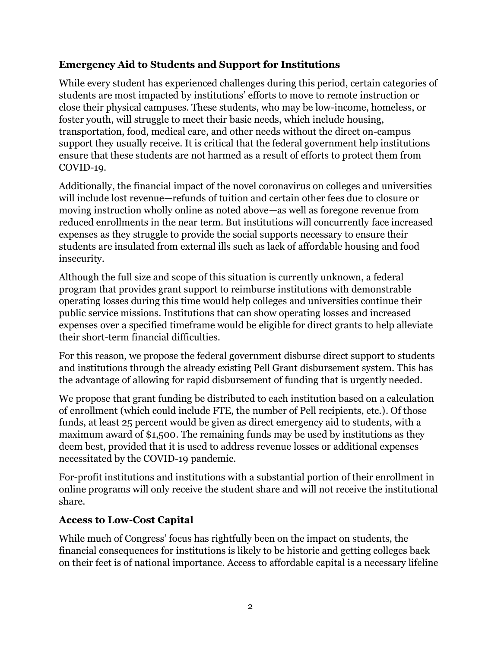## **Emergency Aid to Students and Support for Institutions**

While every student has experienced challenges during this period, certain categories of students are most impacted by institutions' efforts to move to remote instruction or close their physical campuses. These students, who may be low-income, homeless, or foster youth, will struggle to meet their basic needs, which include housing, transportation, food, medical care, and other needs without the direct on-campus support they usually receive. It is critical that the federal government help institutions ensure that these students are not harmed as a result of efforts to protect them from COVID-19.

Additionally, the financial impact of the novel coronavirus on colleges and universities will include lost revenue—refunds of tuition and certain other fees due to closure or moving instruction wholly online as noted above—as well as foregone revenue from reduced enrollments in the near term. But institutions will concurrently face increased expenses as they struggle to provide the social supports necessary to ensure their students are insulated from external ills such as lack of affordable housing and food insecurity.

Although the full size and scope of this situation is currently unknown, a federal program that provides grant support to reimburse institutions with demonstrable operating losses during this time would help colleges and universities continue their public service missions. Institutions that can show operating losses and increased expenses over a specified timeframe would be eligible for direct grants to help alleviate their short-term financial difficulties.

For this reason, we propose the federal government disburse direct support to students and institutions through the already existing Pell Grant disbursement system. This has the advantage of allowing for rapid disbursement of funding that is urgently needed.

We propose that grant funding be distributed to each institution based on a calculation of enrollment (which could include FTE, the number of Pell recipients, etc.). Of those funds, at least 25 percent would be given as direct emergency aid to students, with a maximum award of \$1,500. The remaining funds may be used by institutions as they deem best, provided that it is used to address revenue losses or additional expenses necessitated by the COVID-19 pandemic.

For-profit institutions and institutions with a substantial portion of their enrollment in online programs will only receive the student share and will not receive the institutional share.

## **Access to Low-Cost Capital**

While much of Congress' focus has rightfully been on the impact on students, the financial consequences for institutions is likely to be historic and getting colleges back on their feet is of national importance. Access to affordable capital is a necessary lifeline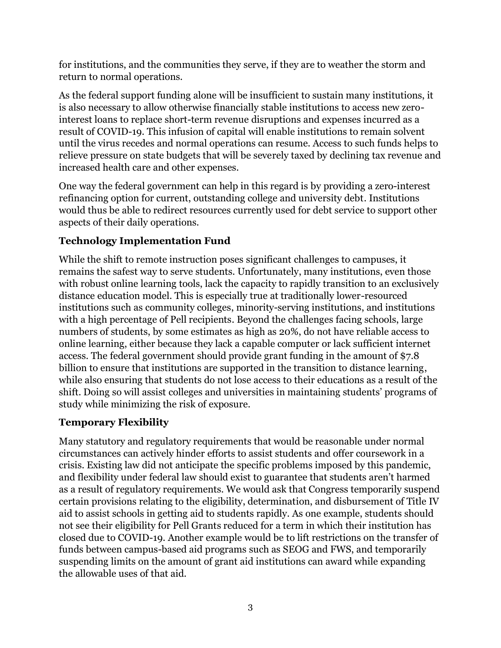for institutions, and the communities they serve, if they are to weather the storm and return to normal operations.

As the federal support funding alone will be insufficient to sustain many institutions, it is also necessary to allow otherwise financially stable institutions to access new zerointerest loans to replace short-term revenue disruptions and expenses incurred as a result of COVID-19. This infusion of capital will enable institutions to remain solvent until the virus recedes and normal operations can resume. Access to such funds helps to relieve pressure on state budgets that will be severely taxed by declining tax revenue and increased health care and other expenses.

One way the federal government can help in this regard is by providing a zero-interest refinancing option for current, outstanding college and university debt. Institutions would thus be able to redirect resources currently used for debt service to support other aspects of their daily operations.

# **Technology Implementation Fund**

While the shift to remote instruction poses significant challenges to campuses, it remains the safest way to serve students. Unfortunately, many institutions, even those with robust online learning tools, lack the capacity to rapidly transition to an exclusively distance education model. This is especially true at traditionally lower-resourced institutions such as community colleges, minority-serving institutions, and institutions with a high percentage of Pell recipients. Beyond the challenges facing schools, large numbers of students, by some estimates as high as 20%, do not have reliable access to online learning, either because they lack a capable computer or lack sufficient internet access. The federal government should provide grant funding in the amount of \$7.8 billion to ensure that institutions are supported in the transition to distance learning, while also ensuring that students do not lose access to their educations as a result of the shift. Doing so will assist colleges and universities in maintaining students' programs of study while minimizing the risk of exposure.

# **Temporary Flexibility**

Many statutory and regulatory requirements that would be reasonable under normal circumstances can actively hinder efforts to assist students and offer coursework in a crisis. Existing law did not anticipate the specific problems imposed by this pandemic, and flexibility under federal law should exist to guarantee that students aren't harmed as a result of regulatory requirements. We would ask that Congress temporarily suspend certain provisions relating to the eligibility, determination, and disbursement of Title IV aid to assist schools in getting aid to students rapidly. As one example, students should not see their eligibility for Pell Grants reduced for a term in which their institution has closed due to COVID-19. Another example would be to lift restrictions on the transfer of funds between campus-based aid programs such as SEOG and FWS, and temporarily suspending limits on the amount of grant aid institutions can award while expanding the allowable uses of that aid.